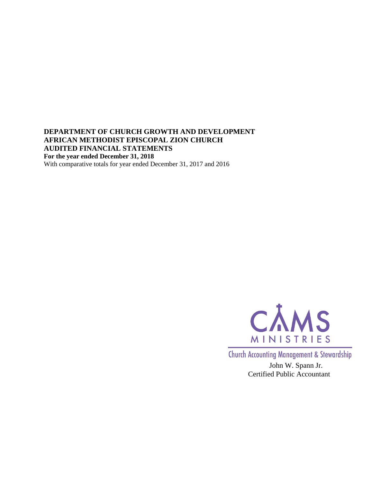### **DEPARTMENT OF CHURCH GROWTH AND DEVELOPMENT AFRICAN METHODIST EPISCOPAL ZION CHURCH AUDITED FINANCIAL STATEMENTS For the year ended December 31, 2018** With comparative totals for year ended December 31, 2017 and 2016



**Church Accounting Management & Stewardship** 

John W. Spann Jr. Certified Public Accountant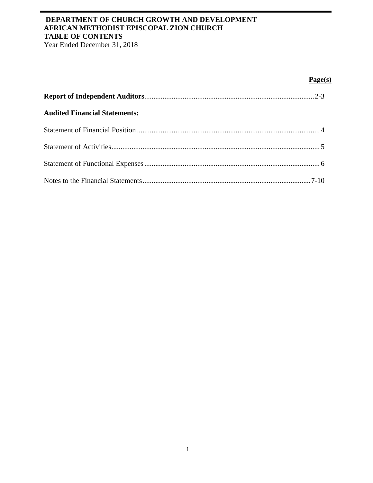# **DEPARTMENT OF CHURCH GROWTH AND DEVELOPMENT AFRICAN METHODIST EPISCOPAL ZION CHURCH TABLE OF CONTENTS**

Year Ended December 31, 2018

# **Page(s)**

| <b>Audited Financial Statements:</b> |  |
|--------------------------------------|--|
|                                      |  |
|                                      |  |
|                                      |  |
|                                      |  |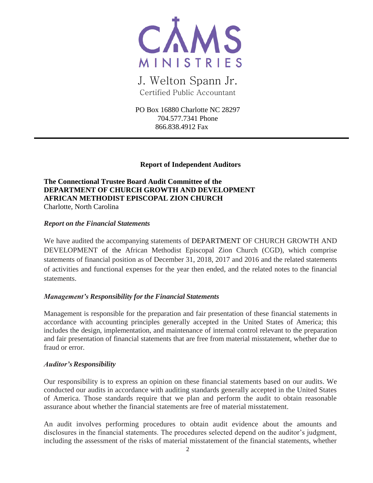

J. Welton Spann Jr. Certified Public Accountant

PO Box 16880 Charlotte NC 28297 704.577.7341 Phone 866.838.4912 Fax

### **Report of Independent Auditors**

**The Connectional Trustee Board Audit Committee of the DEPARTMENT OF CHURCH GROWTH AND DEVELOPMENT AFRICAN METHODIST EPISCOPAL ZION CHURCH** Charlotte, North Carolina

### *Report on the Financial Statements*

We have audited the accompanying statements of DEPARTMENT OF CHURCH GROWTH AND DEVELOPMENT of the African Methodist Episcopal Zion Church (CGD), which comprise statements of financial position as of December 31, 2018, 2017 and 2016 and the related statements of activities and functional expenses for the year then ended, and the related notes to the financial statements.

### *Management's Responsibility for the Financial Statements*

Management is responsible for the preparation and fair presentation of these financial statements in accordance with accounting principles generally accepted in the United States of America; this includes the design, implementation, and maintenance of internal control relevant to the preparation and fair presentation of financial statements that are free from material misstatement, whether due to fraud or error.

#### *Auditor'sResponsibility*

Our responsibility is to express an opinion on these financial statements based on our audits. We conducted our audits in accordance with auditing standards generally accepted in the United States of America. Those standards require that we plan and perform the audit to obtain reasonable assurance about whether the financial statements are free of material misstatement.

An audit involves performing procedures to obtain audit evidence about the amounts and disclosures in the financial statements. The procedures selected depend on the auditor's judgment, including the assessment of the risks of material misstatement of the financial statements, whether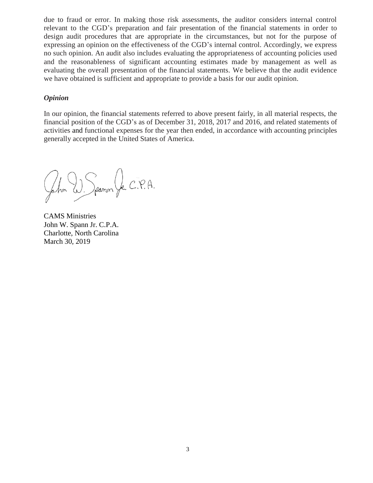due to fraud or error. In making those risk assessments, the auditor considers internal control relevant to the CGD's preparation and fair presentation of the financial statements in order to design audit procedures that are appropriate in the circumstances, but not for the purpose of expressing an opinion on the effectiveness of the CGD's internal control. Accordingly, we express no such opinion. An audit also includes evaluating the appropriateness of accounting policies used and the reasonableness of significant accounting estimates made by management as well as evaluating the overall presentation of the financial statements. We believe that the audit evidence we have obtained is sufficient and appropriate to provide a basis for our audit opinion.

#### *Opinion*

In our opinion, the financial statements referred to above present fairly, in all material respects, the financial position of the CGD's as of December 31, 2018, 2017 and 2016, and related statements of activities and functional expenses for the year then ended, in accordance with accounting principles generally accepted in the United States of America.

Jeanon Jr. C.P.A. fohn<sup>"</sup>

CAMS Ministries John W. Spann Jr. C.P.A. Charlotte, North Carolina March 30, 2019